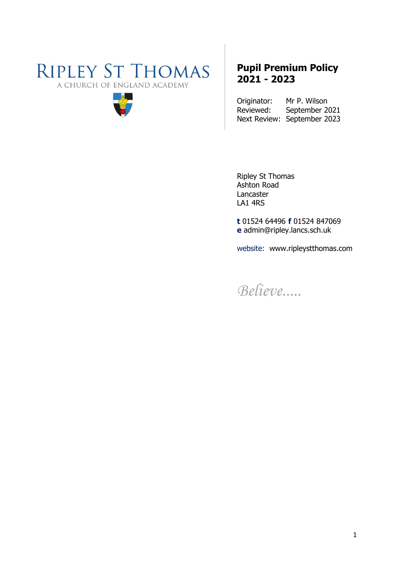# **RIPLEY ST THOMAS** A CHURCH OF ENGLAND ACADEMY



## **Pupil Premium Policy 2021 - 2023**

Originator: Mr P. Wilson<br>Reviewed: September 2 September 2021 Next Review: September 2023

Ripley St Thomas Ashton Road Lancaster LA1 4RS

**t** 01524 64496 **f** 01524 847069 **e** admin@ripley.lancs.sch.uk

website: www.ripleystthomas.com

*Believe.....*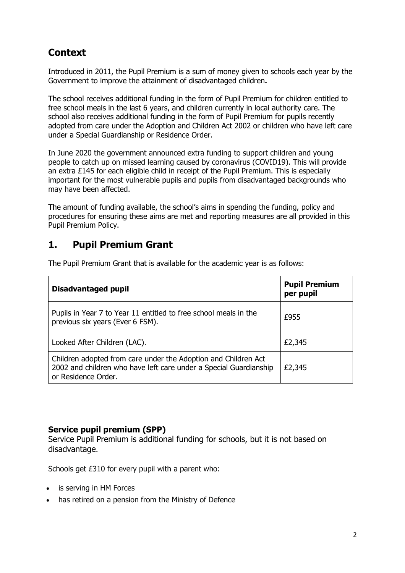## **Context**

Introduced in 2011, the Pupil Premium is a sum of money given to schools each year by the Government to improve the attainment of disadvantaged children**.**

The school receives additional funding in the form of Pupil Premium for children entitled to free school meals in the last 6 years, and children currently in local authority care. The school also receives additional funding in the form of Pupil Premium for pupils recently adopted from care under the Adoption and Children Act 2002 or children who have left care under a Special Guardianship or Residence Order.

In June 2020 the government announced extra funding to support children and young people to catch up on missed learning caused by coronavirus (COVID19). This will provide an extra £145 for each eligible child in receipt of the Pupil Premium. This is especially important for the most vulnerable pupils and pupils from disadvantaged backgrounds who may have been affected.

The amount of funding available, the school's aims in spending the funding, policy and procedures for ensuring these aims are met and reporting measures are all provided in this Pupil Premium Policy.

#### **1. Pupil Premium Grant**

The Pupil Premium Grant that is available for the academic year is as follows:

| Disadvantaged pupil                                                                                                                                        | <b>Pupil Premium</b><br>per pupil |
|------------------------------------------------------------------------------------------------------------------------------------------------------------|-----------------------------------|
| Pupils in Year 7 to Year 11 entitled to free school meals in the<br>previous six years (Ever 6 FSM).                                                       | £955                              |
| Looked After Children (LAC).                                                                                                                               | £2,345                            |
| Children adopted from care under the Adoption and Children Act<br>2002 and children who have left care under a Special Guardianship<br>or Residence Order. | £2,345                            |

#### **Service pupil premium (SPP)**

Service Pupil [Premium](https://www.gov.uk/government/publications/the-service-pupil-premium) is additional funding for schools, but it is not based on disadvantage.

Schools get £310 for every pupil with a parent who:

- is serving in HM Forces
- has retired on a pension from the Ministry of Defence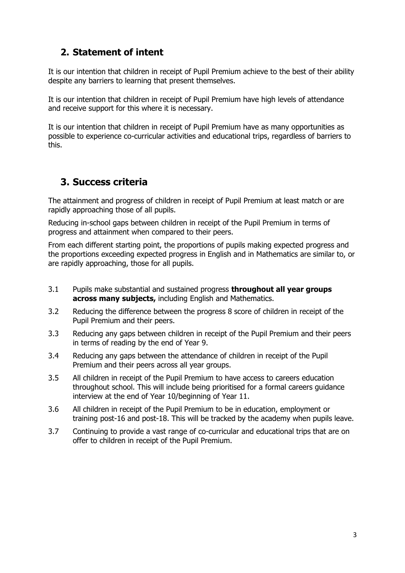#### **2. Statement of intent**

It is our intention that children in receipt of Pupil Premium achieve to the best of their ability despite any barriers to learning that present themselves.

It is our intention that children in receipt of Pupil Premium have high levels of attendance and receive support for this where it is necessary.

It is our intention that children in receipt of Pupil Premium have as many opportunities as possible to experience co-curricular activities and educational trips, regardless of barriers to this.

## **3. Success criteria**

The attainment and progress of children in receipt of Pupil Premium at least match or are rapidly approaching those of all pupils.

Reducing in-school gaps between children in receipt of the Pupil Premium in terms of progress and attainment when compared to their peers.

From each different starting point, the proportions of pupils making expected progress and the proportions exceeding expected progress in English and in Mathematics are similar to, or are rapidly approaching, those for all pupils.

- 3.1 Pupils make substantial and sustained progress **throughout all year groups across many subjects,** including English and Mathematics.
- 3.2 Reducing the difference between the progress 8 score of children in receipt of the Pupil Premium and their peers.
- 3.3 Reducing any gaps between children in receipt of the Pupil Premium and their peers in terms of reading by the end of Year 9.
- 3.4 Reducing any gaps between the attendance of children in receipt of the Pupil Premium and their peers across all year groups.
- 3.5 All children in receipt of the Pupil Premium to have access to careers education throughout school. This will include being prioritised for a formal careers guidance interview at the end of Year 10/beginning of Year 11.
- 3.6 All children in receipt of the Pupil Premium to be in education, employment or training post-16 and post-18. This will be tracked by the academy when pupils leave.
- 3.7 Continuing to provide a vast range of co-curricular and educational trips that are on offer to children in receipt of the Pupil Premium.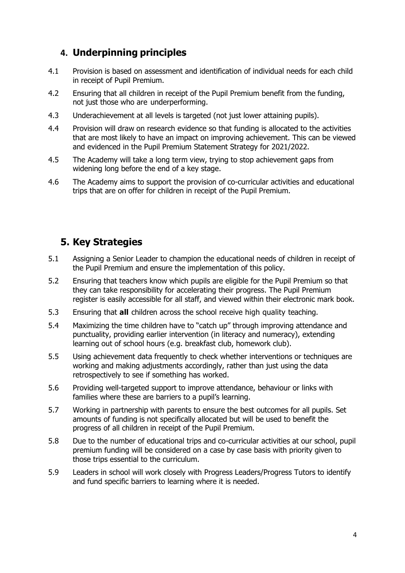## **4. Underpinning principles**

- 4.1 Provision is based on assessment and identification of individual needs for each child in receipt of Pupil Premium.
- 4.2 Ensuring that all children in receipt of the Pupil Premium benefit from the funding, not just those who are underperforming.
- 4.3 Underachievement at all levels is targeted (not just lower attaining pupils).
- 4.4 Provision will draw on research evidence so that funding is allocated to the activities that are most likely to have an impact on improving achievement. This can be viewed and evidenced in the Pupil Premium Statement Strategy for 2021/2022.
- 4.5 The Academy will take a long term view, trying to stop achievement gaps from widening long before the end of a key stage.
- 4.6 The Academy aims to support the provision of co-curricular activities and educational trips that are on offer for children in receipt of the Pupil Premium.

## **5. Key Strategies**

- 5.1 Assigning a Senior Leader to champion the educational needs of children in receipt of the Pupil Premium and ensure the implementation of this policy.
- 5.2 Ensuring that teachers know which pupils are eligible for the Pupil Premium so that they can take responsibility for accelerating their progress. The Pupil Premium register is easily accessible for all staff, and viewed within their electronic mark book.
- 5.3 Ensuring that **all** children across the school receive high quality teaching.
- 5.4 Maximizing the time children have to "catch up" through improving attendance and punctuality, providing earlier intervention (in literacy and numeracy), extending learning out of school hours (e.g. breakfast club, homework club).
- 5.5 Using achievement data frequently to check whether interventions or techniques are working and making adjustments accordingly, rather than just using the data retrospectively to see if something has worked.
- 5.6 Providing well-targeted support to improve attendance, behaviour or links with families where these are barriers to a pupil's learning.
- 5.7 Working in partnership with parents to ensure the best outcomes for all pupils. Set amounts of funding is not specifically allocated but will be used to benefit the progress of all children in receipt of the Pupil Premium.
- 5.8 Due to the number of educational trips and co-curricular activities at our school, pupil premium funding will be considered on a case by case basis with priority given to those trips essential to the curriculum.
- 5.9 Leaders in school will work closely with Progress Leaders/Progress Tutors to identify and fund specific barriers to learning where it is needed.